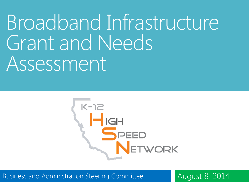Broadband Infrastructure Grant and Needs Assessment



Business and Administration Steering Committee August 8, 2014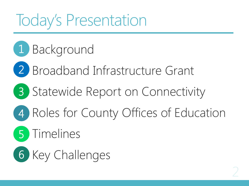## Today's Presentation

- 1 Background
- 2 Broadband Infrastructure Grant
- 3 Statewide Report on Connectivity
- 4 Roles for County Offices of Education
	- 5 Timelines
- 6 Key Challenges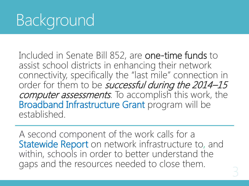Included in Senate Bill 852, are one-time funds to assist school districts in enhancing their network connectivity, specifically the "last mile" connection in order for them to be successful during the 2014-15 computer assessments. To accomplish this work, the Broadband Infrastructure Grant program will be established.

A second component of the work calls for a Statewide Report on network infrastructure to, and within, schools in order to better understand the gaps and the resources needed to close them.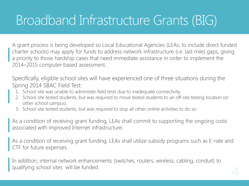### Broadband Infrastructure Grants (BIG)

A grant process is being developed so Local Educational Agencies (LEAs, to include direct funded charter schools) may apply for funds to address network infrastructure (i.e. last mile) gaps, giving a priority to those hardship cases that need immediate assistance in order to implement the 2014–2015 computer-based assessment.

Specifically, eligible school sites will have experienced one of three situations during the Spring 2014 SBAC Field Test:

- 1. School site was unable to administer field tests due to inadequate connectivity.
- 2. School site tested students, but was required to move tested students to an off-site testing location (or other school campus).
- 3. School site tested students, but was required to stop all other online activities to do so.

As a condition of receiving grant funding, LEAs shall commit to supporting the ongoing costs associated with improved Internet infrastructure.

As a condition of receiving grant funding, LEAs shall utilize subsidy programs such as E-rate and CTF for future expenses.

In addition, internal network enhancements (switches, routers, wireless, cabling, conduit) to qualifying school sites will be funded.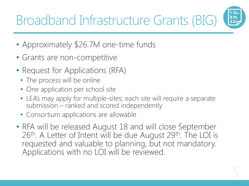Broadband Infrastructure Grants (BIG)

- Approximately \$26.7M one-time funds
- Grants are non-competitive
- Request for Applications (RFA)
	- The process will be online
	- One application per school site
	- LEA's may apply for multiple-sites; each site will require a separate submission – ranked and scored independently
	- Consortium applications are allowable
- RFA will be released August 18 and will close September 26<sup>th</sup>. A Letter of Intent will be due August 29<sup>th</sup>. The LOI is requested and valuable to planning, but not mandatory. Applications with no LOI will be reviewed.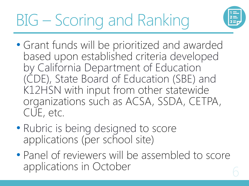

- Grant funds will be prioritized and awarded based upon established criteria developed by California Department of Education (CDE), State Board of Education (SBE) and K12HSN with input from other statewide organizations such as ACSA, SSDA, CETPA, CUE, etc.
- Rubric is being designed to score applications (per school site)
- Panel of reviewers will be assembled to score applications in October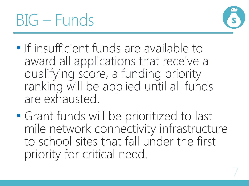



- If insufficient funds are available to award all applications that receive a qualifying score, a funding priority ranking will be applied until all funds are exhausted.
- Grant funds will be prioritized to last mile network connectivity infrastructure to school sites that fall under the first priority for critical need.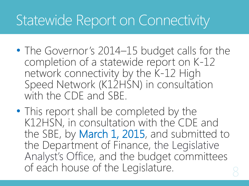### Statewide Report on Connectivity

- The Governor's 2014–15 budget calls for the completion of a statewide report on K-12 network connectivity by the K-12 High Speed Network (K12HSN) in consultation with the CDF and SBF.
- This report shall be completed by the K12HSN, in consultation with the CDE and the SBE, by March 1, 2015, and submitted to the Department of Finance, the Legislative Analyst's Office, and the budget committees of each house of the Legislature.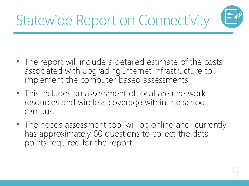

- The report will include a detailed estimate of the costs associated with upgrading Internet infrastructure to implement the computer-based assessments.
- This includes an assessment of local area network resources and wireless coverage within the school campus.
- The needs assessment tool will be online and currently has approximately 60 questions to collect the data points required for the report.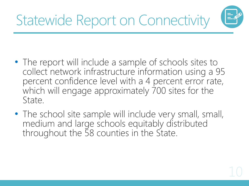

- The report will include a sample of schools sites to collect network infrastructure information using a 95 percent confidence level with a 4 percent error rate, which will engage approximately 700 sites for the State.
- The school site sample will include very small, small, medium and large schools equitably distributed throughout the 58 counties in the State.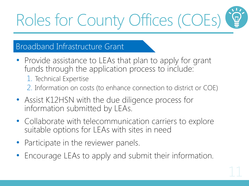# Roles for County Offices (COEs)

#### Broadband Infrastructure Grant

- Provide assistance to LEAs that plan to apply for grant funds through the application process to include:
	- 1. Technical Expertise
	- 2. Information on costs (to enhance connection to district or COE)
- Assist K12HSN with the due diligence process for information submitted by LEAs.
- Collaborate with telecommunication carriers to explore suitable options for LEAs with sites in need
- Participate in the reviewer panels.
- Encourage LEAs to apply and submit their information.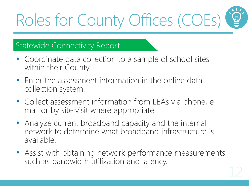## Roles for County Offices (COEs)

#### Statewide Connectivity Report

- Coordinate data collection to a sample of school sites within their County.
- Enter the assessment information in the online data collection system.
- Collect assessment information from LEAs via phone, email or by site visit where appropriate.
- Analyze current broadband capacity and the internal network to determine what broadband infrastructure is available.
- Assist with obtaining network performance measurements such as bandwidth utilization and latency.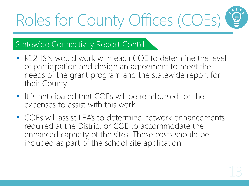## Roles for County Offices (COEs)

#### Statewide Connectivity Report Cont'd

- K12HSN would work with each COE to determine the level of participation and design an agreement to meet the needs of the grant program and the statewide report for their County.
- It is anticipated that COEs will be reimbursed for their expenses to assist with this work.
- COEs will assist LEA's to determine network enhancements required at the District or COE to accommodate the enhanced capacity of the sites. These costs should be included as part of the school site application.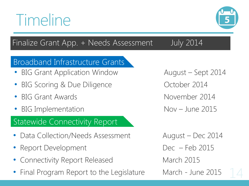### Finalize Grant App. + Needs Assessment July 2014

#### Broadband Infrastructure Grants

- BIG Grant Application Window August Sept 2014
- BIG Scoring & Due Diligence **Canada Contract Contract Provider** 2014
- ergies BIG Grant Awards November 2014
- BIG Implementation **EXACTE 10 Nov June 2015**

#### Statewide Connectivity Report

- Data Collection/Needs Assessment August Dec 2014
- Report Development Dec Feb 2015
- **Connectivity Report Released March 2015**
- Final Program Report to the Legislature March June 2015



## Timeline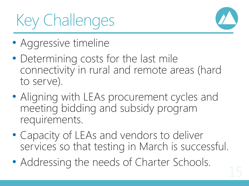## Key Challenges



- Aggressive timeline
- Determining costs for the last mile connectivity in rural and remote areas (hard to serve).
- Aligning with LEAs procurement cycles and meeting bidding and subsidy program requirements.
- Capacity of LEAs and vendors to deliver services so that testing in March is successful.
- Addressing the needs of Charter Schools.